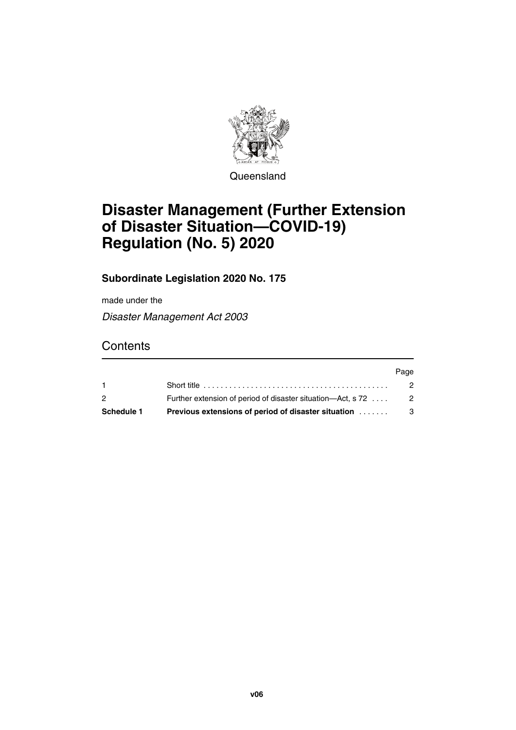

**Queensland** 

# **Disaster Management (Further Extension of Disaster Situation—COVID-19) Regulation (No. 5) 2020**

#### **Subordinate Legislation 2020 No. 175**

made under the

*Disaster Management Act 2003*

### **Contents**

| Schedule 1     | <b>Previous extensions of period of disaster situation</b>  | - 3  |
|----------------|-------------------------------------------------------------|------|
| $\overline{2}$ | Further extension of period of disaster situation—Act, s 72 | - 2  |
|                |                                                             | 2    |
|                |                                                             | Page |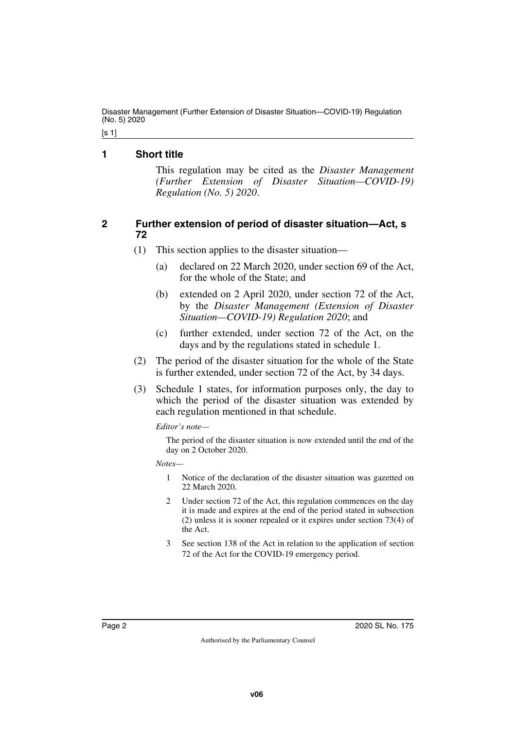Disaster Management (Further Extension of Disaster Situation—COVID-19) Regulation (No. 5) 2020

[s 1]

#### <span id="page-1-0"></span>**1 Short title**

<span id="page-1-1"></span>This regulation may be cited as the *Disaster Management (Further Extension of Disaster Situation—COVID-19) Regulation (No. 5) 2020*.

#### <span id="page-1-2"></span>**2 Further extension of period of disaster situation—Act, s 72**

- <span id="page-1-3"></span>(1) This section applies to the disaster situation—
	- (a) declared on 22 March 2020, under section 69 of the Act, for the whole of the State; and
	- (b) extended on 2 April 2020, under section 72 of the Act, by the *Disaster Management (Extension of Disaster Situation—COVID-19) Regulation 2020*; and
	- (c) further extended, under section 72 of the Act, on the days and by the regulations stated in schedule 1.
- (2) The period of the disaster situation for the whole of the State is further extended, under section 72 of the Act, by 34 days.
- (3) Schedule 1 states, for information purposes only, the day to which the period of the disaster situation was extended by each regulation mentioned in that schedule.

*Editor's note—*

The period of the disaster situation is now extended until the end of the day on 2 October 2020.

*Notes—*

- 1 Notice of the declaration of the disaster situation was gazetted on 22 March 2020.
- 2 Under section 72 of the Act, this regulation commences on the day it is made and expires at the end of the period stated in subsection (2) unless it is sooner repealed or it expires under section 73(4) of the Act.
- 3 See section 138 of the Act in relation to the application of section 72 of the Act for the COVID-19 emergency period.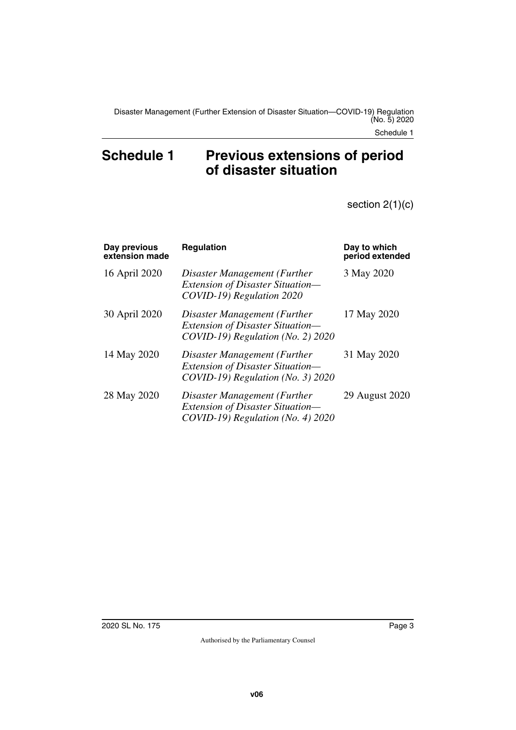## <span id="page-2-1"></span><span id="page-2-0"></span>Schedule 1 Previous extensions of period **of disaster situation**

section 2(1)(c)

| Day previous<br>extension made | <b>Regulation</b>                                                                                               | Day to which<br>period extended |
|--------------------------------|-----------------------------------------------------------------------------------------------------------------|---------------------------------|
| 16 April 2020                  | Disaster Management (Further<br>Extension of Disaster Situation-<br>COVID-19) Regulation 2020                   | 3 May 2020                      |
| 30 April 2020                  | Disaster Management (Further<br>Extension of Disaster Situation-<br>$COVID-19$ ) Regulation (No. 2) 2020        | 17 May 2020                     |
| 14 May 2020                    | Disaster Management (Further<br><i>Extension of Disaster Situation—</i><br>$COVID-19$ ) Regulation (No. 3) 2020 | 31 May 2020                     |
| 28 May 2020                    | Disaster Management (Further<br>Extension of Disaster Situation-<br>$COVID-19$ ) Regulation (No. 4) 2020        | 29 August 2020                  |